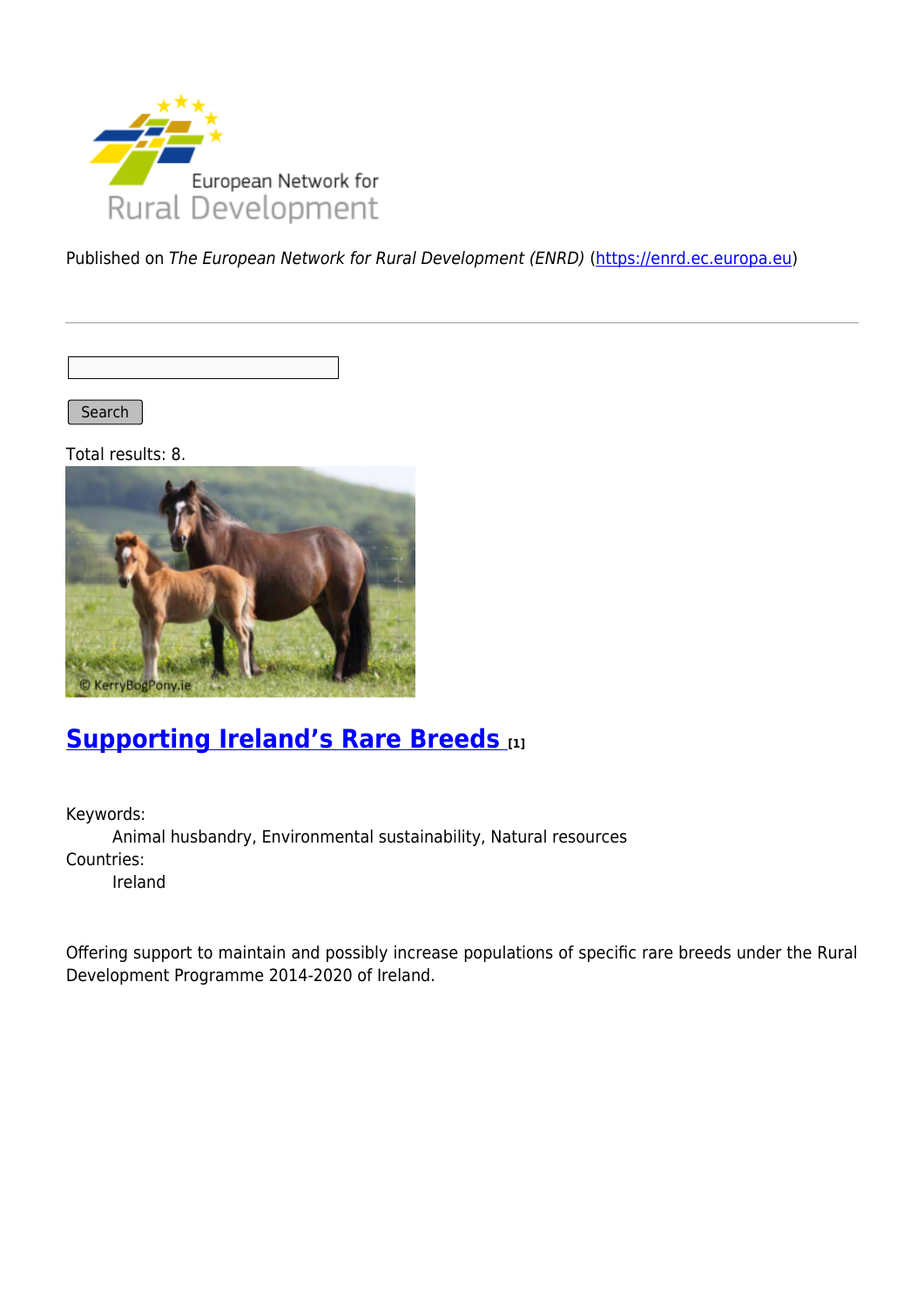

Published on The European Network for Rural Development (ENRD) [\(https://enrd.ec.europa.eu](https://enrd.ec.europa.eu))

Search |

Total results: 8.



## **[Supporting Ireland's Rare Breeds](https://enrd.ec.europa.eu/projects-practice/supporting-irelands-rare-breeds_en) [1]**

Keywords: Animal husbandry, Environmental sustainability, Natural resources Countries: Ireland

Offering support to maintain and possibly increase populations of specific rare breeds under the Rural Development Programme 2014-2020 of Ireland.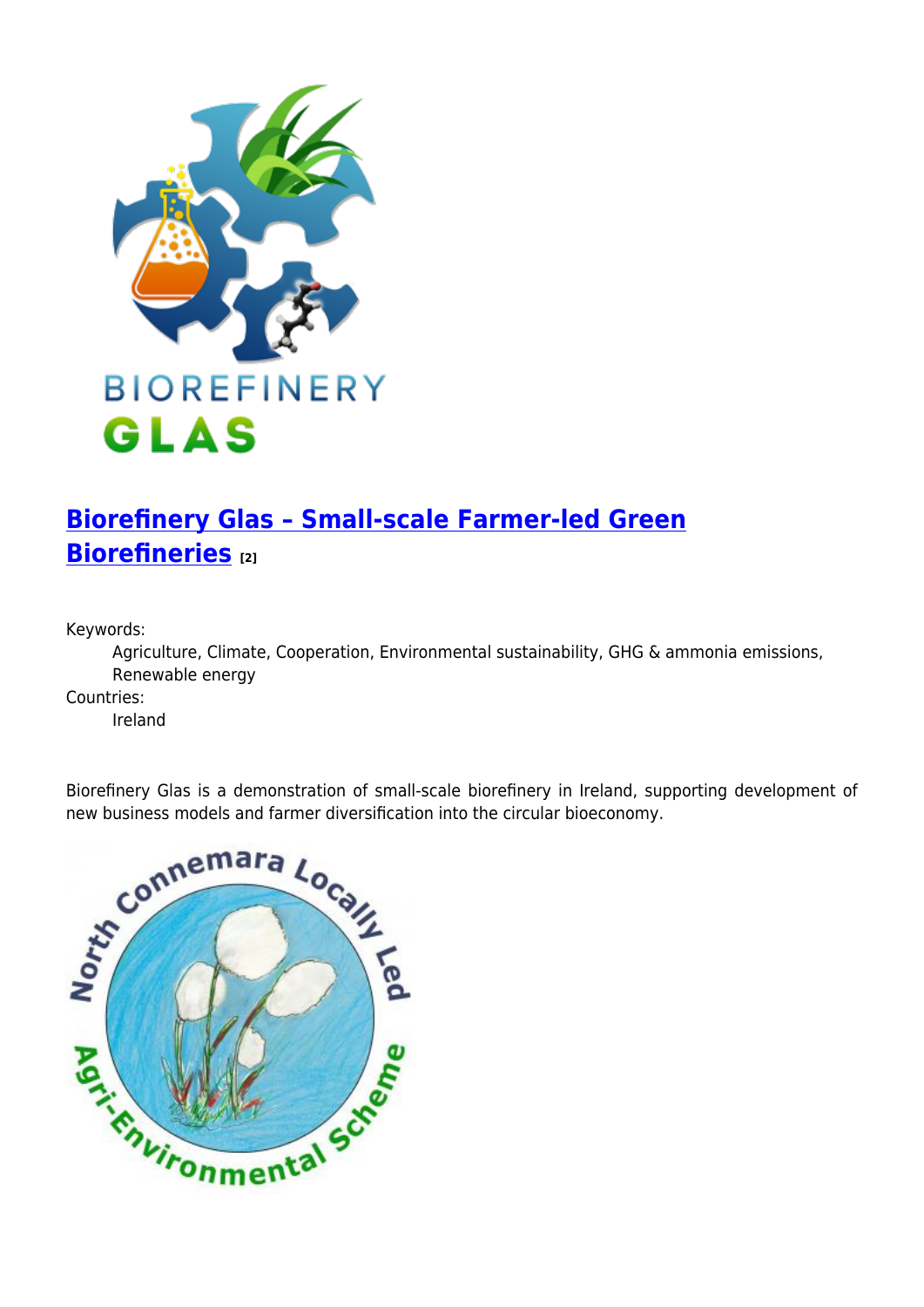

# **[Biorefinery Glas – Small-scale Farmer-led Green](https://enrd.ec.europa.eu/projects-practice/biorefinery-glas-small-scale-farmer-led-green-biorefineries_en) [Biorefineries](https://enrd.ec.europa.eu/projects-practice/biorefinery-glas-small-scale-farmer-led-green-biorefineries_en) [2]**

Keywords:

Agriculture, Climate, Cooperation, Environmental sustainability, GHG & ammonia emissions, Renewable energy

Countries:

Ireland

Biorefinery Glas is a demonstration of small-scale biorefinery in Ireland, supporting development of new business models and farmer diversification into the circular bioeconomy.

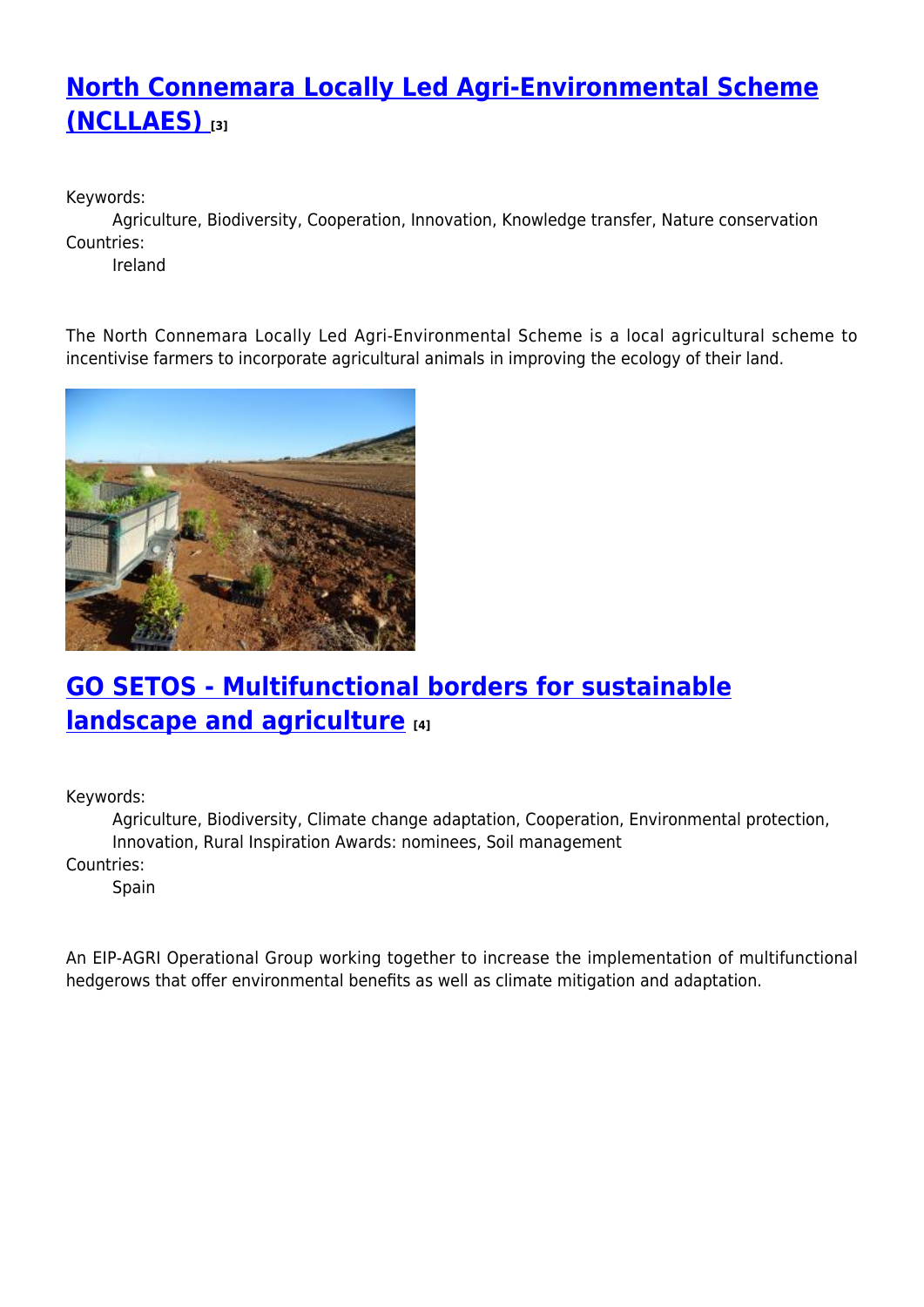## **[North Connemara Locally Led Agri-Environmental Scheme](https://enrd.ec.europa.eu/projects-practice/north-connemara-locally-led-agri-environmental-scheme-ncllaes_en) [\(NCLLAES\)](https://enrd.ec.europa.eu/projects-practice/north-connemara-locally-led-agri-environmental-scheme-ncllaes_en) [3]**

Keywords:

Agriculture, Biodiversity, Cooperation, Innovation, Knowledge transfer, Nature conservation Countries:

Ireland

The North Connemara Locally Led Agri-Environmental Scheme is a local agricultural scheme to incentivise farmers to incorporate agricultural animals in improving the ecology of their land.



## **[GO SETOS - Multifunctional borders for sustainable](https://enrd.ec.europa.eu/projects-practice/go-setos-multifunctional-borders-sustainable-landscape-and-agriculture_en) [landscape and agriculture](https://enrd.ec.europa.eu/projects-practice/go-setos-multifunctional-borders-sustainable-landscape-and-agriculture_en) [4]**

Keywords:

Agriculture, Biodiversity, Climate change adaptation, Cooperation, Environmental protection, Innovation, Rural Inspiration Awards: nominees, Soil management

Countries:

Spain

An EIP-AGRI Operational Group working together to increase the implementation of multifunctional hedgerows that offer environmental benefits as well as climate mitigation and adaptation.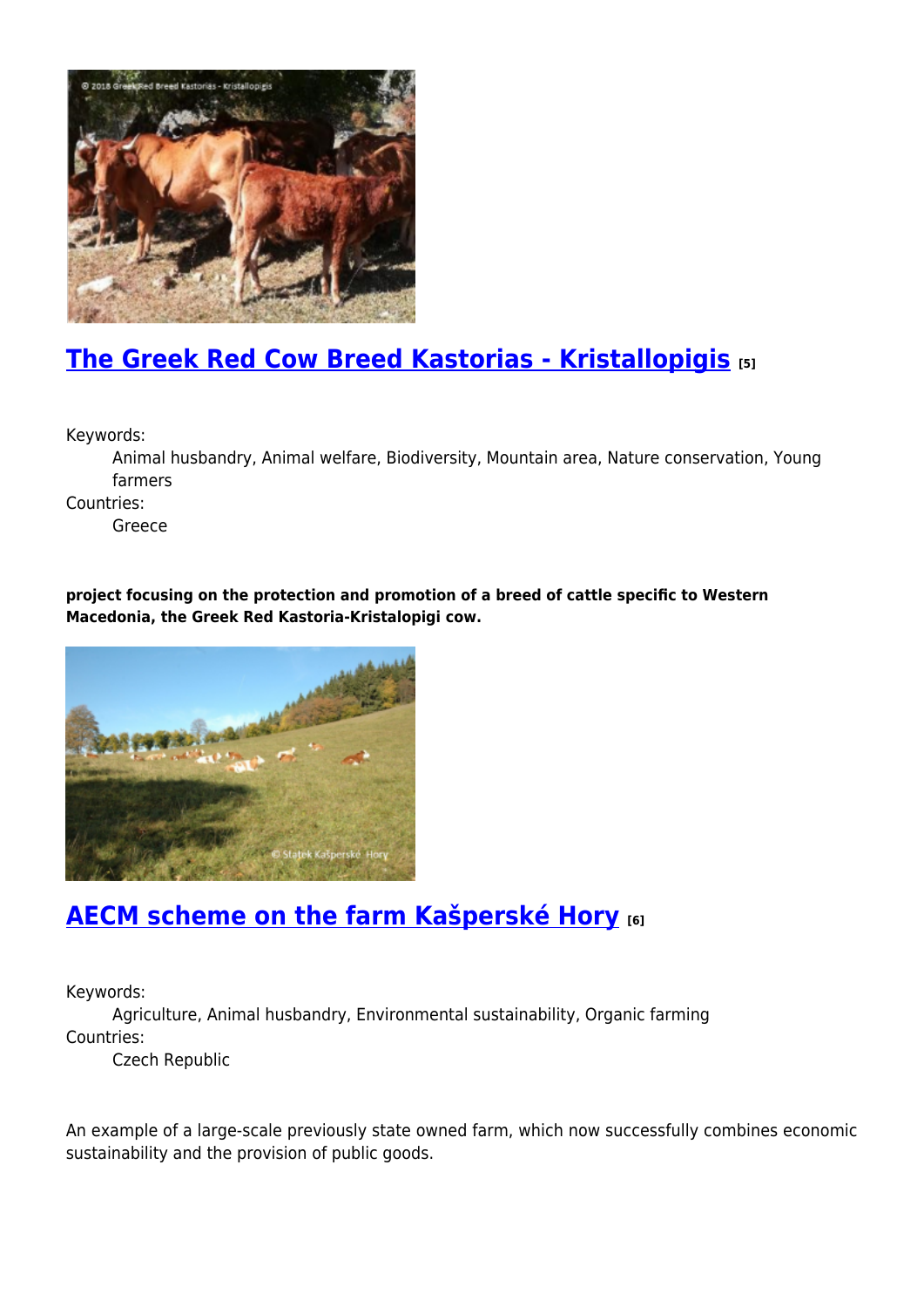

## **[The Greek Red Cow Breed Kastorias - Kristallopigis](https://enrd.ec.europa.eu/projects-practice/greek-red-cow-breed-kastorias-kristallopigis_en) [5]**

Keywords:

Animal husbandry, Animal welfare, Biodiversity, Mountain area, Nature conservation, Young farmers

Countries:

Greece

**project focusing on the protection and promotion of a breed of cattle specific to Western Macedonia, the Greek Red Kastoria-Kristalopigi cow.**



#### **[AECM scheme on the farm Kašperské Hory](https://enrd.ec.europa.eu/projects-practice/aecm-scheme-farm-kasperske-hory_en) [6]**

Keywords:

Agriculture, Animal husbandry, Environmental sustainability, Organic farming Countries:

Czech Republic

An example of a large-scale previously state owned farm, which now successfully combines economic sustainability and the provision of public goods.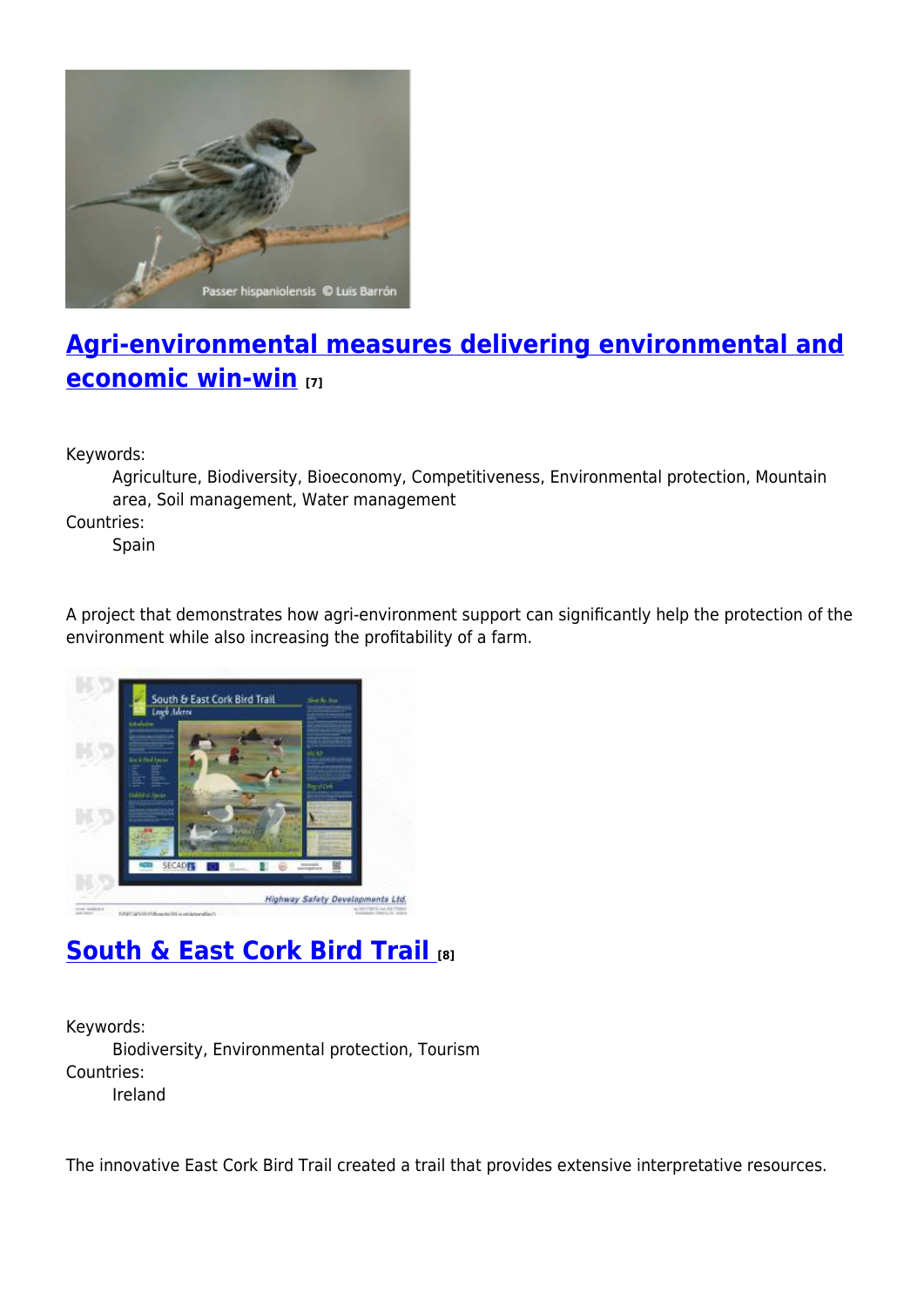

## **[Agri-environmental measures delivering environmental and](https://enrd.ec.europa.eu/projects-practice/agri-environmental-measures-environmental-economic-win-win_en) [economic win-win](https://enrd.ec.europa.eu/projects-practice/agri-environmental-measures-environmental-economic-win-win_en) [7]**

Keywords:

Agriculture, Biodiversity, Bioeconomy, Competitiveness, Environmental protection, Mountain area, Soil management, Water management

Countries:

Spain

A project that demonstrates how agri-environment support can significantly help the protection of the environment while also increasing the profitability of a farm.



# **[South & East Cork Bird Trail](https://enrd.ec.europa.eu/projects-practice/south-east-cork-bird-trail_en) [8]**

Keywords: Biodiversity, Environmental protection, Tourism Countries: Ireland

The innovative East Cork Bird Trail created a trail that provides extensive interpretative resources.